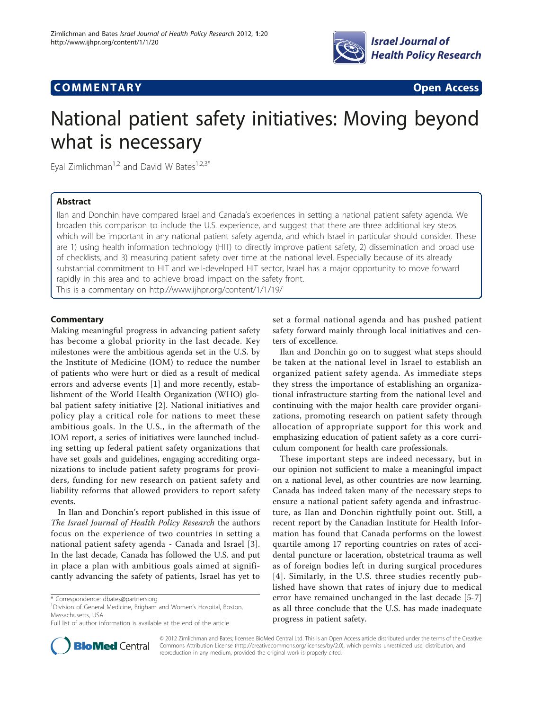

# **COMMENTARY COMMENTARY Open Access**



# National patient safety initiatives: Moving beyond what is necessary

Eyal Zimlichman<sup>1,2</sup> and David W Bates<sup>1,2,3\*</sup>

## Abstract

Ilan and Donchin have compared Israel and Canada's experiences in setting a national patient safety agenda. We broaden this comparison to include the U.S. experience, and suggest that there are three additional key steps which will be important in any national patient safety agenda, and which Israel in particular should consider. These are 1) using health information technology (HIT) to directly improve patient safety, 2) dissemination and broad use of checklists, and 3) measuring patient safety over time at the national level. Especially because of its already substantial commitment to HIT and well-developed HIT sector, Israel has a major opportunity to move forward rapidly in this area and to achieve broad impact on the safety front. This is a commentary on<http://www.ijhpr.org/content/1/1/19/>

## **Commentary**

Making meaningful progress in advancing patient safety has become a global priority in the last decade. Key milestones were the ambitious agenda set in the U.S. by the Institute of Medicine (IOM) to reduce the number of patients who were hurt or died as a result of medical errors and adverse events [\[1](#page-1-0)] and more recently, establishment of the World Health Organization (WHO) global patient safety initiative [[2\]](#page-1-0). National initiatives and policy play a critical role for nations to meet these ambitious goals. In the U.S., in the aftermath of the IOM report, a series of initiatives were launched including setting up federal patient safety organizations that have set goals and guidelines, engaging accrediting organizations to include patient safety programs for providers, funding for new research on patient safety and liability reforms that allowed providers to report safety events.

In Ilan and Donchin's report published in this issue of The Israel Journal of Health Policy Research the authors focus on the experience of two countries in setting a national patient safety agenda - Canada and Israel [[3](#page-1-0)]. In the last decade, Canada has followed the U.S. and put in place a plan with ambitious goals aimed at significantly advancing the safety of patients, Israel has yet to



Ilan and Donchin go on to suggest what steps should be taken at the national level in Israel to establish an organized patient safety agenda. As immediate steps they stress the importance of establishing an organizational infrastructure starting from the national level and continuing with the major health care provider organizations, promoting research on patient safety through allocation of appropriate support for this work and emphasizing education of patient safety as a core curriculum component for health care professionals.

These important steps are indeed necessary, but in our opinion not sufficient to make a meaningful impact on a national level, as other countries are now learning. Canada has indeed taken many of the necessary steps to ensure a national patient safety agenda and infrastructure, as Ilan and Donchin rightfully point out. Still, a recent report by the Canadian Institute for Health Information has found that Canada performs on the lowest quartile among 17 reporting countries on rates of accidental puncture or laceration, obstetrical trauma as well as of foreign bodies left in during surgical procedures [[4](#page-1-0)]. Similarly, in the U.S. three studies recently published have shown that rates of injury due to medical error have remained unchanged in the last decade [[5-7](#page-1-0)] as all three conclude that the U.S. has made inadequate progress in patient safety.



© 2012 Zimlichman and Bates; licensee BioMed Central Ltd. This is an Open Access article distributed under the terms of the Creative Commons Attribution License [\(http://creativecommons.org/licenses/by/2.0](http://creativecommons.org/licenses/by/2.0)), which permits unrestricted use, distribution, and reproduction in any medium, provided the original work is properly cited.

<sup>\*</sup> Correspondence: [dbates@partners.org](mailto:dbates@partners.org)

<sup>&</sup>lt;sup>1</sup> Division of General Medicine, Brigham and Women's Hospital, Boston, Massachusetts, USA

Full list of author information is available at the end of the article